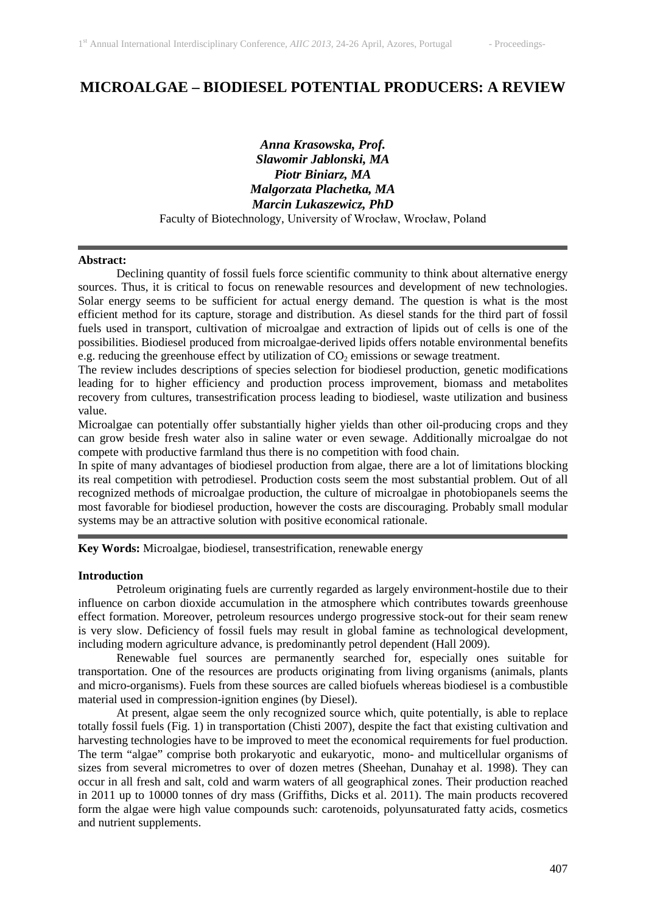# **MICROALGAE – BIODIESEL POTENTIAL PRODUCERS: A REVIEW**

*Anna Krasowska, Prof. Slawomir Jablonski, MA Piotr Biniarz, MA Malgorzata Plachetka, MA Marcin Lukaszewicz, PhD* Faculty of Biotechnology, University of Wrocław, Wrocław, Poland

#### **Abstract:**

Declining quantity of fossil fuels force scientific community to think about alternative energy sources. Thus, it is critical to focus on renewable resources and development of new technologies. Solar energy seems to be sufficient for actual energy demand. The question is what is the most efficient method for its capture, storage and distribution. As diesel stands for the third part of fossil fuels used in transport, cultivation of microalgae and extraction of lipids out of cells is one of the possibilities. Biodiesel produced from microalgae-derived lipids offers notable environmental benefits e.g. reducing the greenhouse effect by utilization of  $CO<sub>2</sub>$  emissions or sewage treatment.

The review includes descriptions of species selection for biodiesel production, genetic modifications leading for to higher efficiency and production process improvement, biomass and metabolites recovery from cultures, transestrification process leading to biodiesel, waste utilization and business value.

Microalgae can potentially offer substantially higher yields than other oil-producing crops and they can grow beside fresh water also in saline water or even sewage. Additionally microalgae do not compete with productive farmland thus there is no competition with food chain.

In spite of many advantages of biodiesel production from algae, there are a lot of limitations blocking its real competition with petrodiesel. Production costs seem the most substantial problem. Out of all recognized methods of microalgae production, the culture of microalgae in photobiopanels seems the most favorable for biodiesel production, however the costs are discouraging. Probably small modular systems may be an attractive solution with positive economical rationale.

**Key Words:** Microalgae, biodiesel, transestrification, renewable energy

## **Introduction**

Petroleum originating fuels are currently regarded as largely environment-hostile due to their influence on carbon dioxide accumulation in the atmosphere which contributes towards greenhouse effect formation. Moreover, petroleum resources undergo progressive stock-out for their seam renew is very slow. Deficiency of fossil fuels may result in global famine as technological development, including modern agriculture advance, is predominantly petrol dependent (Hall 2009).

Renewable fuel sources are permanently searched for, especially ones suitable for transportation. One of the resources are products originating from living organisms (animals, plants and micro-organisms). Fuels from these sources are called biofuels whereas biodiesel is a combustible material used in compression-ignition engines (by Diesel).

At present, algae seem the only recognized source which, quite potentially, is able to replace totally fossil fuels (Fig. 1) in transportation (Chisti 2007), despite the fact that existing cultivation and harvesting technologies have to be improved to meet the economical requirements for fuel production. The term "algae" comprise both prokaryotic and eukaryotic, mono- and multicellular organisms of sizes from several micrometres to over of dozen metres (Sheehan, Dunahay et al. 1998). They can occur in all fresh and salt, cold and warm waters of all geographical zones. Their production reached in 2011 up to 10000 tonnes of dry mass (Griffiths, Dicks et al. 2011). The main products recovered form the algae were high value compounds such: carotenoids, polyunsaturated fatty acids, cosmetics and nutrient supplements.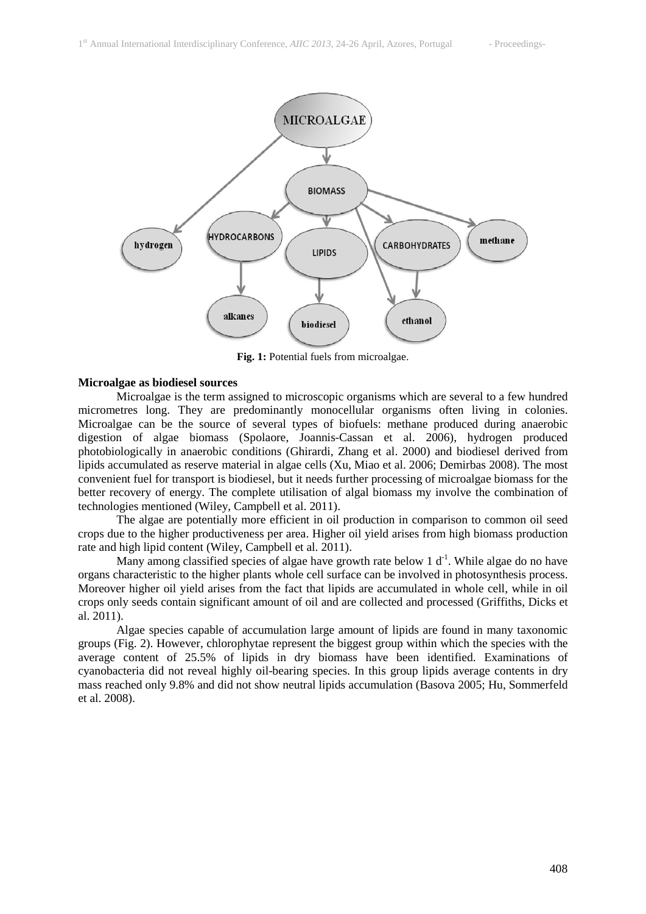

**Fig. 1:** Potential fuels from microalgae.

#### **Microalgae as biodiesel sources**

Microalgae is the term assigned to microscopic organisms which are several to a few hundred micrometres long. They are predominantly monocellular organisms often living in colonies. Microalgae can be the source of several types of biofuels: methane produced during anaerobic digestion of algae biomass (Spolaore, Joannis-Cassan et al. 2006), hydrogen produced photobiologically in anaerobic conditions (Ghirardi, Zhang et al. 2000) and biodiesel derived from lipids accumulated as reserve material in algae cells (Xu, Miao et al. 2006; Demirbas 2008). The most convenient fuel for transport is biodiesel, but it needs further processing of microalgae biomass for the better recovery of energy. The complete utilisation of algal biomass my involve the combination of technologies mentioned (Wiley, Campbell et al. 2011).

The algae are potentially more efficient in oil production in comparison to common oil seed crops due to the higher productiveness per area. Higher oil yield arises from high biomass production rate and high lipid content (Wiley, Campbell et al. 2011).

Many among classified species of algae have growth rate below 1  $d<sup>-1</sup>$ . While algae do no have organs characteristic to the higher plants whole cell surface can be involved in photosynthesis process. Moreover higher oil yield arises from the fact that lipids are accumulated in whole cell, while in oil crops only seeds contain significant amount of oil and are collected and processed (Griffiths, Dicks et al. 2011).

Algae species capable of accumulation large amount of lipids are found in many taxonomic groups (Fig. 2). However, chlorophytae represent the biggest group within which the species with the average content of 25.5% of lipids in dry biomass have been identified. Examinations of cyanobacteria did not reveal highly oil-bearing species. In this group lipids average contents in dry mass reached only 9.8% and did not show neutral lipids accumulation (Basova 2005; Hu, Sommerfeld et al. 2008).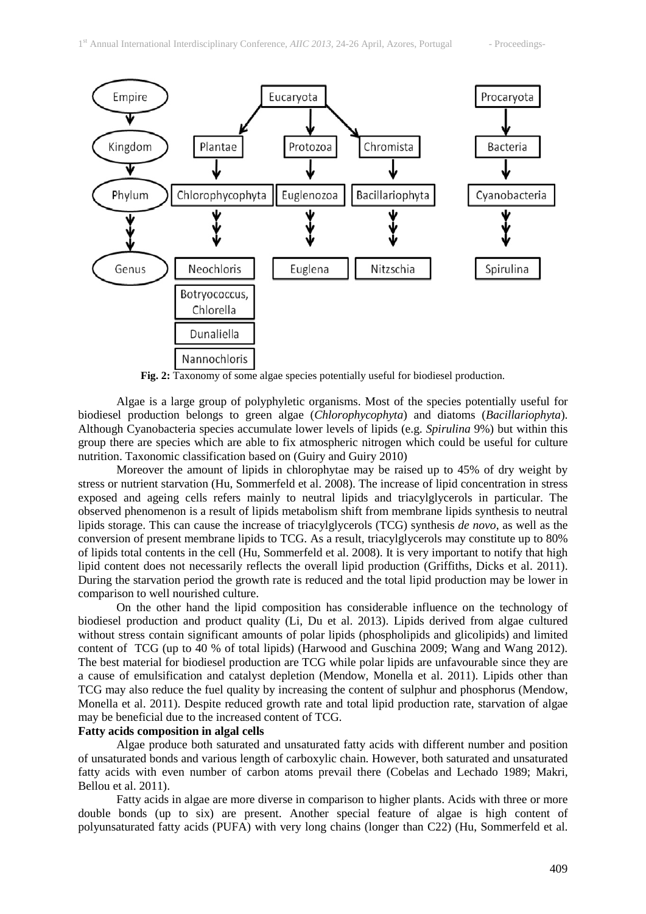

**Fig. 2:** Taxonomy of some algae species potentially useful for biodiesel production.

Algae is a large group of polyphyletic organisms. Most of the species potentially useful for biodiesel production belongs to green algae (*Chlorophycophyta*) and diatoms (*Bacillariophyta*). Although Cyanobacteria species accumulate lower levels of lipids (e.g. *Spirulina* 9%) but within this group there are species which are able to fix atmospheric nitrogen which could be useful for culture nutrition. Taxonomic classification based on (Guiry and Guiry 2010)

Moreover the amount of lipids in chlorophytae may be raised up to 45% of dry weight by stress or nutrient starvation (Hu, Sommerfeld et al. 2008). The increase of lipid concentration in stress exposed and ageing cells refers mainly to neutral lipids and triacylglycerols in particular. The observed phenomenon is a result of lipids metabolism shift from membrane lipids synthesis to neutral lipids storage. This can cause the increase of triacylglycerols (TCG) synthesis *de novo*, as well as the conversion of present membrane lipids to TCG. As a result, triacylglycerols may constitute up to 80% of lipids total contents in the cell (Hu, Sommerfeld et al. 2008). It is very important to notify that high lipid content does not necessarily reflects the overall lipid production (Griffiths, Dicks et al. 2011). During the starvation period the growth rate is reduced and the total lipid production may be lower in comparison to well nourished culture.

On the other hand the lipid composition has considerable influence on the technology of biodiesel production and product quality (Li, Du et al. 2013). Lipids derived from algae cultured without stress contain significant amounts of polar lipids (phospholipids and glicolipids) and limited content of TCG (up to 40 % of total lipids) (Harwood and Guschina 2009; Wang and Wang 2012). The best material for biodiesel production are TCG while polar lipids are unfavourable since they are a cause of emulsification and catalyst depletion (Mendow, Monella et al. 2011). Lipids other than TCG may also reduce the fuel quality by increasing the content of sulphur and phosphorus (Mendow, Monella et al. 2011). Despite reduced growth rate and total lipid production rate, starvation of algae may be beneficial due to the increased content of TCG.

### **Fatty acids composition in algal cells**

Algae produce both saturated and unsaturated fatty acids with different number and position of unsaturated bonds and various length of carboxylic chain. However, both saturated and unsaturated fatty acids with even number of carbon atoms prevail there (Cobelas and Lechado 1989; Makri, Bellou et al. 2011).

Fatty acids in algae are more diverse in comparison to higher plants. Acids with three or more double bonds (up to six) are present. Another special feature of algae is high content of polyunsaturated fatty acids (PUFA) with very long chains (longer than C22) (Hu, Sommerfeld et al.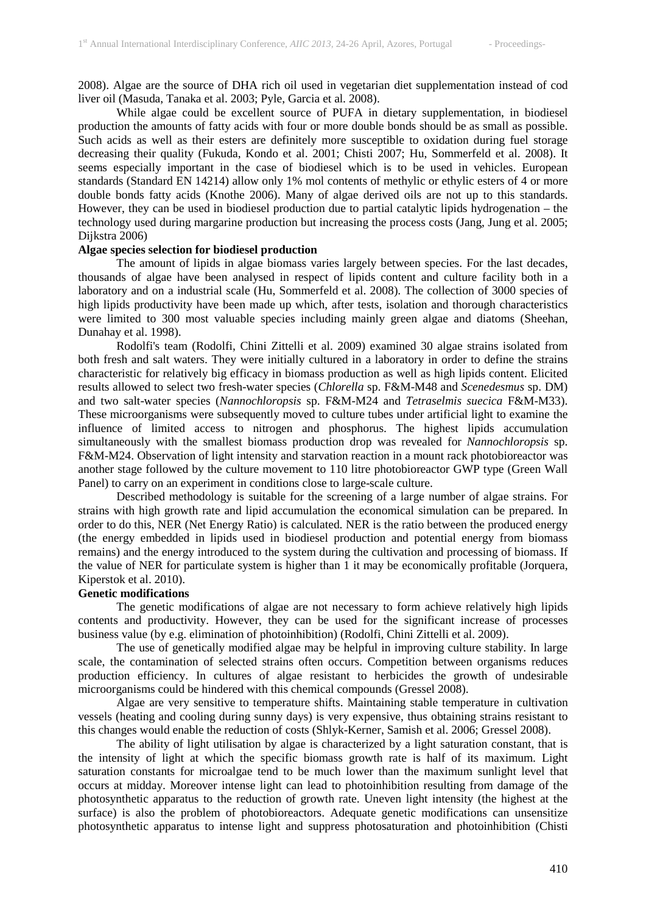2008). Algae are the source of DHA rich oil used in vegetarian diet supplementation instead of cod liver oil (Masuda, Tanaka et al. 2003; Pyle, Garcia et al. 2008).

While algae could be excellent source of PUFA in dietary supplementation, in biodiesel production the amounts of fatty acids with four or more double bonds should be as small as possible. Such acids as well as their esters are definitely more susceptible to oxidation during fuel storage decreasing their quality (Fukuda, Kondo et al. 2001; Chisti 2007; Hu, Sommerfeld et al. 2008). It seems especially important in the case of biodiesel which is to be used in vehicles. European standards (Standard EN 14214) allow only 1% mol contents of methylic or ethylic esters of 4 or more double bonds fatty acids (Knothe 2006). Many of algae derived oils are not up to this standards. However, they can be used in biodiesel production due to partial catalytic lipids hydrogenation – the technology used during margarine production but increasing the process costs (Jang, Jung et al. 2005; Dijkstra 2006)

## **Algae species selection for biodiesel production**

The amount of lipids in algae biomass varies largely between species. For the last decades, thousands of algae have been analysed in respect of lipids content and culture facility both in a laboratory and on a industrial scale (Hu, Sommerfeld et al. 2008). The collection of 3000 species of high lipids productivity have been made up which, after tests, isolation and thorough characteristics were limited to 300 most valuable species including mainly green algae and diatoms (Sheehan, Dunahay et al. 1998).

Rodolfi's team (Rodolfi, Chini Zittelli et al. 2009) examined 30 algae strains isolated from both fresh and salt waters. They were initially cultured in a laboratory in order to define the strains characteristic for relatively big efficacy in biomass production as well as high lipids content. Elicited results allowed to select two fresh-water species (*Chlorella* sp. F&M-M48 and *Scenedesmus* sp. DM) and two salt-water species (*Nannochloropsis* sp. F&M-M24 and *Tetraselmis suecica* F&M-M33). These microorganisms were subsequently moved to culture tubes under artificial light to examine the influence of limited access to nitrogen and phosphorus. The highest lipids accumulation simultaneously with the smallest biomass production drop was revealed for *Nannochloropsis* sp. F&M-M24. Observation of light intensity and starvation reaction in a mount rack photobioreactor was another stage followed by the culture movement to 110 litre photobioreactor GWP type (Green Wall Panel) to carry on an experiment in conditions close to large-scale culture.

Described methodology is suitable for the screening of a large number of algae strains. For strains with high growth rate and lipid accumulation the economical simulation can be prepared. In order to do this, NER (Net Energy Ratio) is calculated. NER is the ratio between the produced energy (the energy embedded in lipids used in biodiesel production and potential energy from biomass remains) and the energy introduced to the system during the cultivation and processing of biomass. If the value of NER for particulate system is higher than 1 it may be economically profitable (Jorquera, Kiperstok et al. 2010).

## **Genetic modifications**

The genetic modifications of algae are not necessary to form achieve relatively high lipids contents and productivity. However, they can be used for the significant increase of processes business value (by e.g. elimination of photoinhibition) (Rodolfi, Chini Zittelli et al. 2009).

The use of genetically modified algae may be helpful in improving culture stability. In large scale, the contamination of selected strains often occurs. Competition between organisms reduces production efficiency. In cultures of algae resistant to herbicides the growth of undesirable microorganisms could be hindered with this chemical compounds (Gressel 2008).

Algae are very sensitive to temperature shifts. Maintaining stable temperature in cultivation vessels (heating and cooling during sunny days) is very expensive, thus obtaining strains resistant to this changes would enable the reduction of costs (Shlyk-Kerner, Samish et al. 2006; Gressel 2008).

The ability of light utilisation by algae is characterized by a light saturation constant, that is the intensity of light at which the specific biomass growth rate is half of its maximum. Light saturation constants for microalgae tend to be much lower than the maximum sunlight level that occurs at midday. Moreover intense light can lead to photoinhibition resulting from damage of the photosynthetic apparatus to the reduction of growth rate. Uneven light intensity (the highest at the surface) is also the problem of photobioreactors. Adequate genetic modifications can unsensitize photosynthetic apparatus to intense light and suppress photosaturation and photoinhibition (Chisti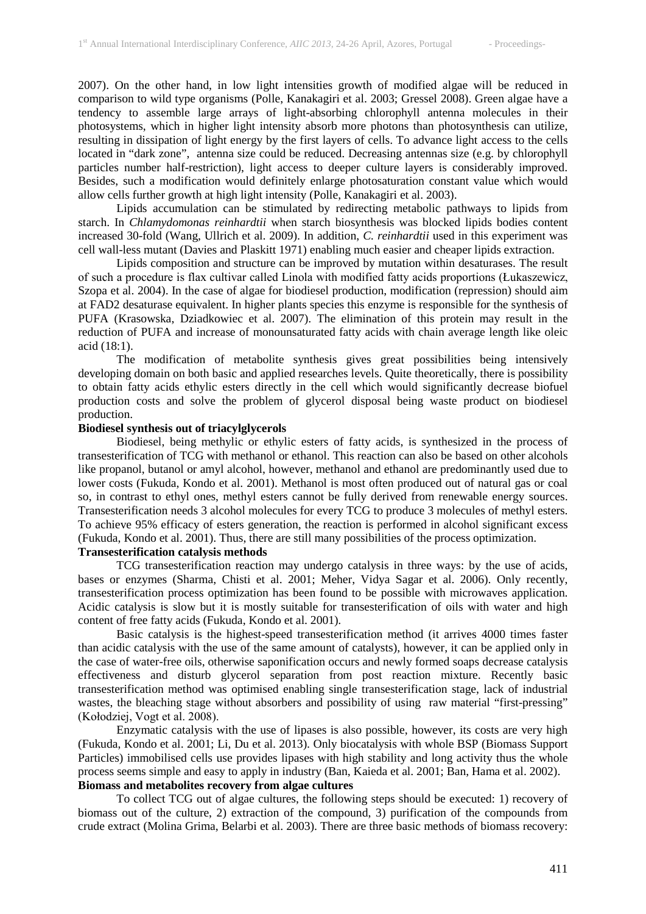2007). On the other hand, in low light intensities growth of modified algae will be reduced in comparison to wild type organisms (Polle, Kanakagiri et al. 2003; Gressel 2008). Green algae have a tendency to assemble large arrays of light-absorbing chlorophyll antenna molecules in their photosystems, which in higher light intensity absorb more photons than photosynthesis can utilize, resulting in dissipation of light energy by the first layers of cells. To advance light access to the cells located in "dark zone", antenna size could be reduced. Decreasing antennas size (e.g. by chlorophyll particles number half-restriction), light access to deeper culture layers is considerably improved. Besides, such a modification would definitely enlarge photosaturation constant value which would allow cells further growth at high light intensity (Polle, Kanakagiri et al. 2003).

Lipids accumulation can be stimulated by redirecting metabolic pathways to lipids from starch. In *Chlamydomonas reinhardtii* when starch biosynthesis was blocked lipids bodies content increased 30-fold (Wang, Ullrich et al. 2009). In addition, *C. reinhardtii* used in this experiment was cell wall-less mutant (Davies and Plaskitt 1971) enabling much easier and cheaper lipids extraction.

Lipids composition and structure can be improved by mutation within desaturases. The result of such a procedure is flax cultivar called Linola with modified fatty acids proportions (Łukaszewicz, Szopa et al. 2004). In the case of algae for biodiesel production, modification (repression) should aim at FAD2 desaturase equivalent. In higher plants species this enzyme is responsible for the synthesis of PUFA (Krasowska, Dziadkowiec et al. 2007). The elimination of this protein may result in the reduction of PUFA and increase of monounsaturated fatty acids with chain average length like oleic acid (18:1).

The modification of metabolite synthesis gives great possibilities being intensively developing domain on both basic and applied researches levels. Quite theoretically, there is possibility to obtain fatty acids ethylic esters directly in the cell which would significantly decrease biofuel production costs and solve the problem of glycerol disposal being waste product on biodiesel production.

## **Biodiesel synthesis out of triacylglycerols**

Biodiesel, being methylic or ethylic esters of fatty acids, is synthesized in the process of transesterification of TCG with methanol or ethanol. This reaction can also be based on other alcohols like propanol, butanol or amyl alcohol, however, methanol and ethanol are predominantly used due to lower costs (Fukuda, Kondo et al. 2001). Methanol is most often produced out of natural gas or coal so, in contrast to ethyl ones, methyl esters cannot be fully derived from renewable energy sources. Transesterification needs 3 alcohol molecules for every TCG to produce 3 molecules of methyl esters. To achieve 95% efficacy of esters generation, the reaction is performed in alcohol significant excess (Fukuda, Kondo et al. 2001). Thus, there are still many possibilities of the process optimization.

## **Transesterification catalysis methods**

TCG transesterification reaction may undergo catalysis in three ways: by the use of acids, bases or enzymes (Sharma, Chisti et al. 2001; Meher, Vidya Sagar et al. 2006). Only recently, transesterification process optimization has been found to be possible with microwaves application. Acidic catalysis is slow but it is mostly suitable for transesterification of oils with water and high content of free fatty acids (Fukuda, Kondo et al. 2001).

Basic catalysis is the highest-speed transesterification method (it arrives 4000 times faster than acidic catalysis with the use of the same amount of catalysts), however, it can be applied only in the case of water-free oils, otherwise saponification occurs and newly formed soaps decrease catalysis effectiveness and disturb glycerol separation from post reaction mixture. Recently basic transesterification method was optimised enabling single transesterification stage, lack of industrial wastes, the bleaching stage without absorbers and possibility of using raw material "first-pressing" (Kołodziej, Vogt et al. 2008).

Enzymatic catalysis with the use of lipases is also possible, however, its costs are very high (Fukuda, Kondo et al. 2001; Li, Du et al. 2013). Only biocatalysis with whole BSP (Biomass Support Particles) immobilised cells use provides lipases with high stability and long activity thus the whole process seems simple and easy to apply in industry (Ban, Kaieda et al. 2001; Ban, Hama et al. 2002). **Biomass and metabolites recovery from algae cultures**

To collect TCG out of algae cultures, the following steps should be executed: 1) recovery of biomass out of the culture, 2) extraction of the compound, 3) purification of the compounds from crude extract (Molina Grima, Belarbi et al. 2003). There are three basic methods of biomass recovery: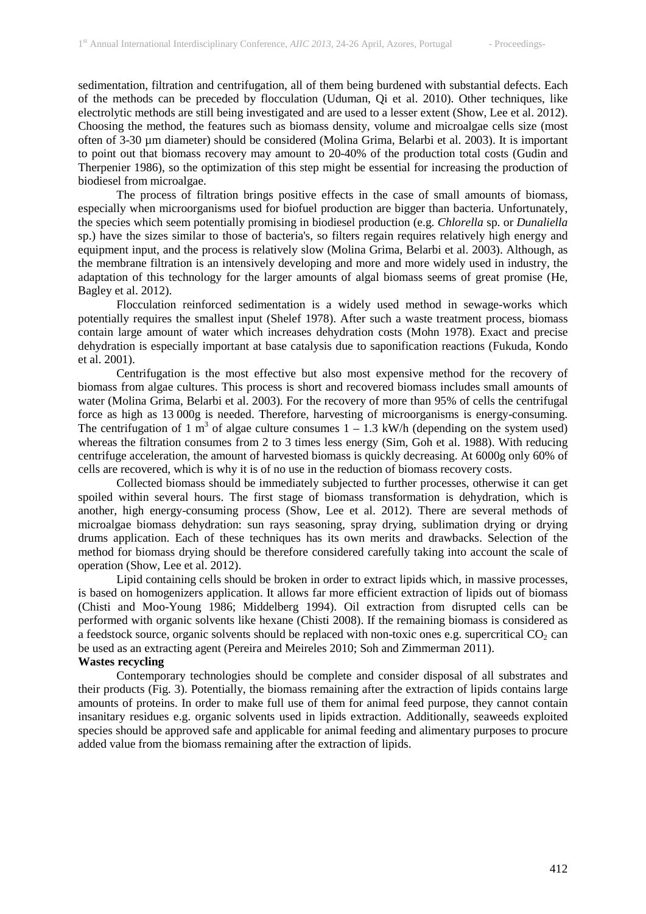sedimentation, filtration and centrifugation, all of them being burdened with substantial defects. Each of the methods can be preceded by flocculation (Uduman, Qi et al. 2010). Other techniques, like electrolytic methods are still being investigated and are used to a lesser extent (Show, Lee et al. 2012). Choosing the method, the features such as biomass density, volume and microalgae cells size (most often of 3-30 µm diameter) should be considered (Molina Grima, Belarbi et al. 2003). It is important to point out that biomass recovery may amount to 20-40% of the production total costs (Gudin and Therpenier 1986), so the optimization of this step might be essential for increasing the production of biodiesel from microalgae.

The process of filtration brings positive effects in the case of small amounts of biomass, especially when microorganisms used for biofuel production are bigger than bacteria. Unfortunately, the species which seem potentially promising in biodiesel production (e.g. *Chlorella* sp. or *Dunaliella*  sp.) have the sizes similar to those of bacteria's, so filters regain requires relatively high energy and equipment input, and the process is relatively slow (Molina Grima, Belarbi et al. 2003). Although, as the membrane filtration is an intensively developing and more and more widely used in industry, the adaptation of this technology for the larger amounts of algal biomass seems of great promise (He, Bagley et al. 2012).

Flocculation reinforced sedimentation is a widely used method in sewage-works which potentially requires the smallest input (Shelef 1978). After such a waste treatment process, biomass contain large amount of water which increases dehydration costs (Mohn 1978). Exact and precise dehydration is especially important at base catalysis due to saponification reactions (Fukuda, Kondo et al. 2001).

Centrifugation is the most effective but also most expensive method for the recovery of biomass from algae cultures. This process is short and recovered biomass includes small amounts of water (Molina Grima, Belarbi et al. 2003). For the recovery of more than 95% of cells the centrifugal force as high as 13 000g is needed. Therefore, harvesting of microorganisms is energy-consuming. The centrifugation of 1 m<sup>3</sup> of algae culture consumes  $1 - 1.3$  kW/h (depending on the system used) whereas the filtration consumes from 2 to 3 times less energy (Sim, Goh et al. 1988). With reducing centrifuge acceleration, the amount of harvested biomass is quickly decreasing. At 6000g only 60% of cells are recovered, which is why it is of no use in the reduction of biomass recovery costs.

Collected biomass should be immediately subjected to further processes, otherwise it can get spoiled within several hours. The first stage of biomass transformation is dehydration, which is another, high energy-consuming process (Show, Lee et al. 2012). There are several methods of microalgae biomass dehydration: sun rays seasoning, spray drying, sublimation drying or drying drums application. Each of these techniques has its own merits and drawbacks. Selection of the method for biomass drying should be therefore considered carefully taking into account the scale of operation (Show, Lee et al. 2012).

Lipid containing cells should be broken in order to extract lipids which, in massive processes, is based on homogenizers application. It allows far more efficient extraction of lipids out of biomass (Chisti and Moo-Young 1986; Middelberg 1994). Oil extraction from disrupted cells can be performed with organic solvents like hexane (Chisti 2008). If the remaining biomass is considered as a feedstock source, organic solvents should be replaced with non-toxic ones e.g. supercritical  $CO<sub>2</sub>$  can be used as an extracting agent (Pereira and Meireles 2010; Soh and Zimmerman 2011).

# **Wastes recycling**

Contemporary technologies should be complete and consider disposal of all substrates and their products (Fig. 3). Potentially, the biomass remaining after the extraction of lipids contains large amounts of proteins. In order to make full use of them for animal feed purpose, they cannot contain insanitary residues e.g. organic solvents used in lipids extraction. Additionally, seaweeds exploited species should be approved safe and applicable for animal feeding and alimentary purposes to procure added value from the biomass remaining after the extraction of lipids.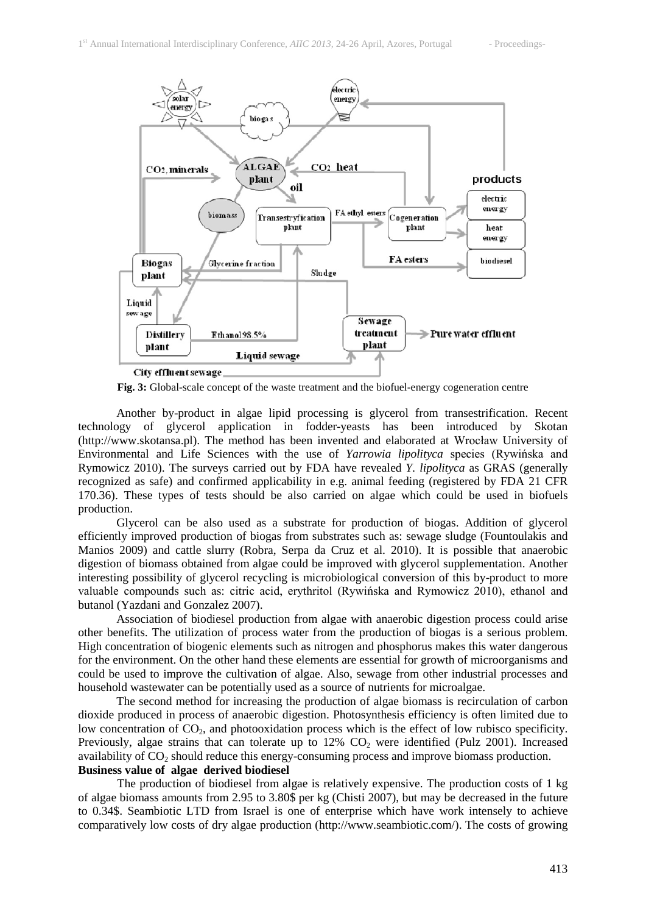

**Fig. 3:** Global-scale concept of the waste treatment and the biofuel-energy cogeneration centre

Another by-product in algae lipid processing is glycerol from transestrification. Recent technology of glycerol application in fodder-yeasts has been introduced by Skotan (http://www.skotansa.pl). The method has been invented and elaborated at Wrocław University of Environmental and Life Sciences with the use of *Yarrowia lipolityca* species (Rywińska and Rymowicz 2010). The surveys carried out by FDA have revealed *Y. lipolityca* as GRAS (generally recognized as safe) and confirmed applicability in e.g. animal feeding (registered by FDA 21 CFR 170.36). These types of tests should be also carried on algae which could be used in biofuels production.

Glycerol can be also used as a substrate for production of biogas. Addition of glycerol efficiently improved production of biogas from substrates such as: sewage sludge (Fountoulakis and Manios 2009) and cattle slurry (Robra, Serpa da Cruz et al. 2010). It is possible that anaerobic digestion of biomass obtained from algae could be improved with glycerol supplementation. Another interesting possibility of glycerol recycling is microbiological conversion of this by-product to more valuable compounds such as: citric acid, erythritol (Rywińska and Rymowicz 2010), ethanol and butanol (Yazdani and Gonzalez 2007).

Association of biodiesel production from algae with anaerobic digestion process could arise other benefits. The utilization of process water from the production of biogas is a serious problem. High concentration of biogenic elements such as nitrogen and phosphorus makes this water dangerous for the environment. On the other hand these elements are essential for growth of microorganisms and could be used to improve the cultivation of algae. Also, sewage from other industrial processes and household wastewater can be potentially used as a source of nutrients for microalgae.

The second method for increasing the production of algae biomass is recirculation of carbon dioxide produced in process of anaerobic digestion. Photosynthesis efficiency is often limited due to low concentration of  $CO<sub>2</sub>$ , and photooxidation process which is the effect of low rubisco specificity. Previously, algae strains that can tolerate up to  $12\%$  CO<sub>2</sub> were identified (Pulz 2001). Increased availability of  $CO<sub>2</sub>$  should reduce this energy-consuming process and improve biomass production. **Business value of algae derived biodiesel**

The production of biodiesel from algae is relatively expensive. The production costs of 1 kg of algae biomass amounts from 2.95 to 3.80\$ per kg (Chisti 2007), but may be decreased in the future to 0.34\$. Seambiotic LTD from Israel is one of enterprise which have work intensely to achieve comparatively low costs of dry algae production (http://www.seambiotic.com/). The costs of growing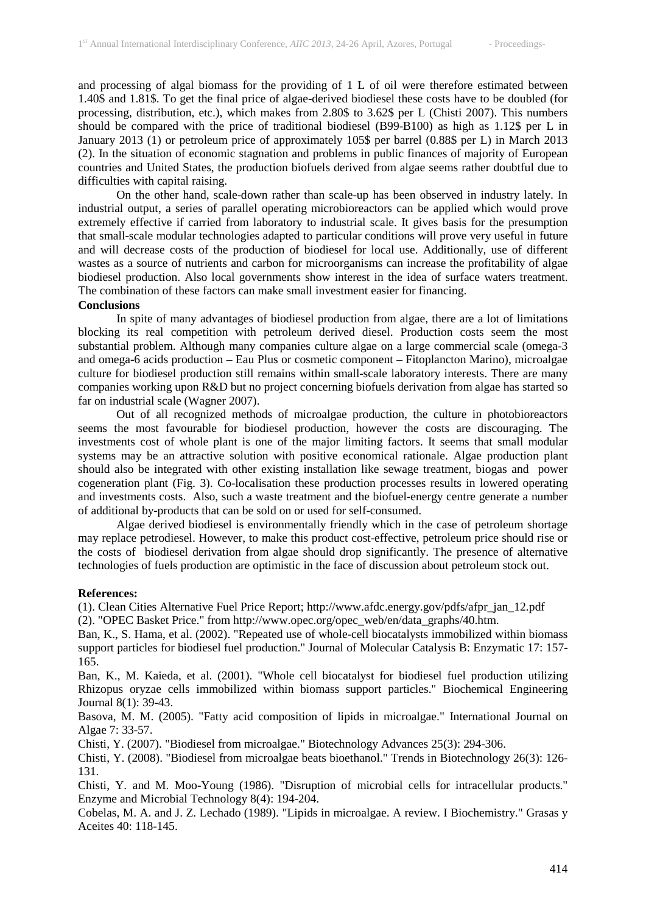and processing of algal biomass for the providing of 1 L of oil were therefore estimated between 1.40\$ and 1.81\$. To get the final price of algae-derived biodiesel these costs have to be doubled (for processing, distribution, etc.), which makes from 2.80\$ to 3.62\$ per L (Chisti 2007). This numbers should be compared with the price of traditional biodiesel (B99-B100) as high as 1.12\$ per L in January 2013 (1) or petroleum price of approximately 105\$ per barrel (0.88\$ per L) in March 2013 (2). In the situation of economic stagnation and problems in public finances of majority of European countries and United States, the production biofuels derived from algae seems rather doubtful due to difficulties with capital raising.

On the other hand, scale-down rather than scale-up has been observed in industry lately. In industrial output, a series of parallel operating microbioreactors can be applied which would prove extremely effective if carried from laboratory to industrial scale. It gives basis for the presumption that small-scale modular technologies adapted to particular conditions will prove very useful in future and will decrease costs of the production of biodiesel for local use. Additionally, use of different wastes as a source of nutrients and carbon for microorganisms can increase the profitability of algae biodiesel production. Also local governments show interest in the idea of surface waters treatment. The combination of these factors can make small investment easier for financing.

#### **Conclusions**

In spite of many advantages of biodiesel production from algae, there are a lot of limitations blocking its real competition with petroleum derived diesel. Production costs seem the most substantial problem. Although many companies culture algae on a large commercial scale (omega-3 and omega-6 acids production – Eau Plus or cosmetic component – Fitoplancton Marino), microalgae culture for biodiesel production still remains within small-scale laboratory interests. There are many companies working upon R&D but no project concerning biofuels derivation from algae has started so far on industrial scale (Wagner 2007).

Out of all recognized methods of microalgae production, the culture in photobioreactors seems the most favourable for biodiesel production, however the costs are discouraging. The investments cost of whole plant is one of the major limiting factors. It seems that small modular systems may be an attractive solution with positive economical rationale. Algae production plant should also be integrated with other existing installation like sewage treatment, biogas and power cogeneration plant (Fig. 3). Co-localisation these production processes results in lowered operating and investments costs. Also, such a waste treatment and the biofuel-energy centre generate a number of additional by-products that can be sold on or used for self-consumed.

Algae derived biodiesel is environmentally friendly which in the case of petroleum shortage may replace petrodiesel. However, to make this product cost-effective, petroleum price should rise or the costs of biodiesel derivation from algae should drop significantly. The presence of alternative technologies of fuels production are optimistic in the face of discussion about petroleum stock out.

#### **References:**

(1). Clean Cities Alternative Fuel Price Report; http://www.afdc.energy.gov/pdfs/afpr\_jan\_12.pdf

(2). "OPEC Basket Price." from http://www.opec.org/opec\_web/en/data\_graphs/40.htm.

Ban, K., S. Hama, et al. (2002). "Repeated use of whole-cell biocatalysts immobilized within biomass support particles for biodiesel fuel production." Journal of Molecular Catalysis B: Enzymatic 17: 157- 165.

Ban, K., M. Kaieda, et al. (2001). "Whole cell biocatalyst for biodiesel fuel production utilizing Rhizopus oryzae cells immobilized within biomass support particles." Biochemical Engineering Journal 8(1): 39-43.

Basova, M. M. (2005). "Fatty acid composition of lipids in microalgae." International Journal on Algae 7: 33-57.

Chisti, Y. (2007). "Biodiesel from microalgae." Biotechnology Advances 25(3): 294-306.

Chisti, Y. (2008). "Biodiesel from microalgae beats bioethanol." Trends in Biotechnology 26(3): 126- 131.

Chisti, Y. and M. Moo-Young (1986). "Disruption of microbial cells for intracellular products." Enzyme and Microbial Technology 8(4): 194-204.

Cobelas, M. A. and J. Z. Lechado (1989). "Lipids in microalgae. A review. I Biochemistry." Grasas y Aceites 40: 118-145.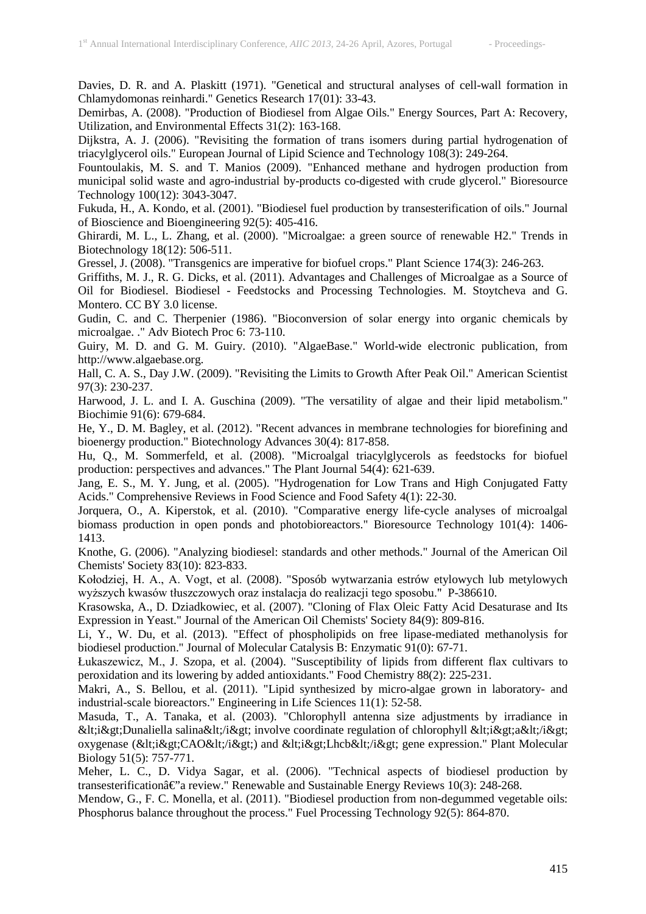Davies, D. R. and A. Plaskitt (1971). "Genetical and structural analyses of cell-wall formation in Chlamydomonas reinhardi." Genetics Research 17(01): 33-43.

Demirbas, A. (2008). "Production of Biodiesel from Algae Oils." Energy Sources, Part A: Recovery, Utilization, and Environmental Effects 31(2): 163-168.

Dijkstra, A. J. (2006). "Revisiting the formation of trans isomers during partial hydrogenation of triacylglycerol oils." European Journal of Lipid Science and Technology 108(3): 249-264.

Fountoulakis, M. S. and T. Manios (2009). "Enhanced methane and hydrogen production from municipal solid waste and agro-industrial by-products co-digested with crude glycerol." Bioresource Technology 100(12): 3043-3047.

Fukuda, H., A. Kondo, et al. (2001). "Biodiesel fuel production by transesterification of oils." Journal of Bioscience and Bioengineering 92(5): 405-416.

Ghirardi, M. L., L. Zhang, et al. (2000). "Microalgae: a green source of renewable H2." Trends in Biotechnology 18(12): 506-511.

Gressel, J. (2008). "Transgenics are imperative for biofuel crops." Plant Science 174(3): 246-263.

Griffiths, M. J., R. G. Dicks, et al. (2011). Advantages and Challenges of Microalgae as a Source of Oil for Biodiesel. Biodiesel - Feedstocks and Processing Technologies. M. Stoytcheva and G. Montero. CC BY 3.0 license.

Gudin, C. and C. Therpenier (1986). "Bioconversion of solar energy into organic chemicals by microalgae. ." Adv Biotech Proc 6: 73-110.

Guiry, M. D. and G. M. Guiry. (2010). "AlgaeBase." World-wide electronic publication, from http://www.algaebase.org.

Hall, C. A. S., Day J.W. (2009). "Revisiting the Limits to Growth After Peak Oil." American Scientist 97(3): 230-237.

Harwood, J. L. and I. A. Guschina (2009). "The versatility of algae and their lipid metabolism." Biochimie 91(6): 679-684.

He, Y., D. M. Bagley, et al. (2012). "Recent advances in membrane technologies for biorefining and bioenergy production." Biotechnology Advances 30(4): 817-858.

Hu, Q., M. Sommerfeld, et al. (2008). "Microalgal triacylglycerols as feedstocks for biofuel production: perspectives and advances." The Plant Journal 54(4): 621-639.

Jang, E. S., M. Y. Jung, et al. (2005). "Hydrogenation for Low Trans and High Conjugated Fatty Acids." Comprehensive Reviews in Food Science and Food Safety 4(1): 22-30.

Jorquera, O., A. Kiperstok, et al. (2010). "Comparative energy life-cycle analyses of microalgal biomass production in open ponds and photobioreactors." Bioresource Technology 101(4): 1406- 1413.

Knothe, G. (2006). "Analyzing biodiesel: standards and other methods." Journal of the American Oil Chemists' Society 83(10): 823-833.

Kołodziej, H. A., A. Vogt, et al. (2008). "Sposób wytwarzania estrów etylowych lub metylowych wyższych kwasów tłuszczowych oraz instalacja do realizacji tego sposobu." P-386610.

Krasowska, A., D. Dziadkowiec, et al. (2007). "Cloning of Flax Oleic Fatty Acid Desaturase and Its Expression in Yeast." Journal of the American Oil Chemists' Society 84(9): 809-816.

Li, Y., W. Du, et al. (2013). "Effect of phospholipids on free lipase-mediated methanolysis for biodiesel production." Journal of Molecular Catalysis B: Enzymatic 91(0): 67-71.

Łukaszewicz, M., J. Szopa, et al. (2004). "Susceptibility of lipids from different flax cultivars to peroxidation and its lowering by added antioxidants." Food Chemistry 88(2): 225-231.

Makri, A., S. Bellou, et al. (2011). "Lipid synthesized by micro-algae grown in laboratory- and industrial-scale bioreactors." Engineering in Life Sciences 11(1): 52-58.

Masuda, T., A. Tanaka, et al. (2003). "Chlorophyll antenna size adjustments by irradiance in  $&dt$ ; *i&gt*; Dunaliella salina $&dt$ ; *i i&gt*; involve coordinate regulation of chlorophyll  $&dt$ ; *i&gt*; *a&lt*; */ i&gt*; oxygenase (&lt:i>CAO&lt:/i>) and &lt:i>Lhcb&lt:/i> gene expression." Plant Molecular Biology 51(5): 757-771.

Meher, L. C., D. Vidya Sagar, et al. (2006). "Technical aspects of biodiesel production by transesterification $\hat{a} \in \hat{c}$  review." Renewable and Sustainable Energy Reviews 10(3): 248-268.

Mendow, G., F. C. Monella, et al. (2011). "Biodiesel production from non-degummed vegetable oils: Phosphorus balance throughout the process." Fuel Processing Technology 92(5): 864-870.